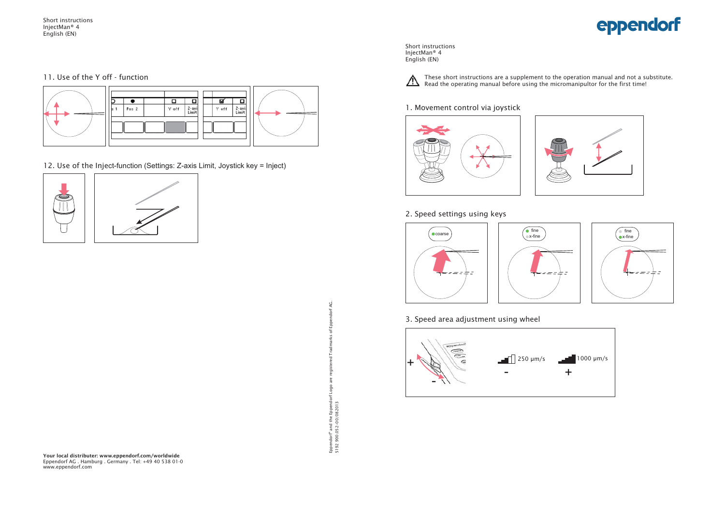Short instructions InjectMan® 4 English (EN)

#### 11. Use of the Y off - function



12. Use of the Inject-function (Settings: Z-axis Limit, Joystick key = Inject)





Short instructions InjectMan<sup>®</sup> 4 English (EN)



These short instructions are a supplement to the operation manual and not a substitute. Read the operating manual before using the micromanipultor for the first time!

#### 1. Movement control via joystick





#### 2. Speed settings using keys







#### 3. Speed area adjustment using wheel



Q. Eppendorf" and the Eppendorf Logo are registered Tradmarks of Eppendorf AG.  $\,$  $\frac{4}{2}$ of Logo Eppendorf® and the Eppendo<br>5192 900.052-00/082013 5192 900.052-00/082013

**Your local distributer: www.eppendorf.com/worldwide** Eppendorf AG . Hamburg . Germany . Tel: +49 40 538 01-0 www.eppendorf.com

# eppendorf